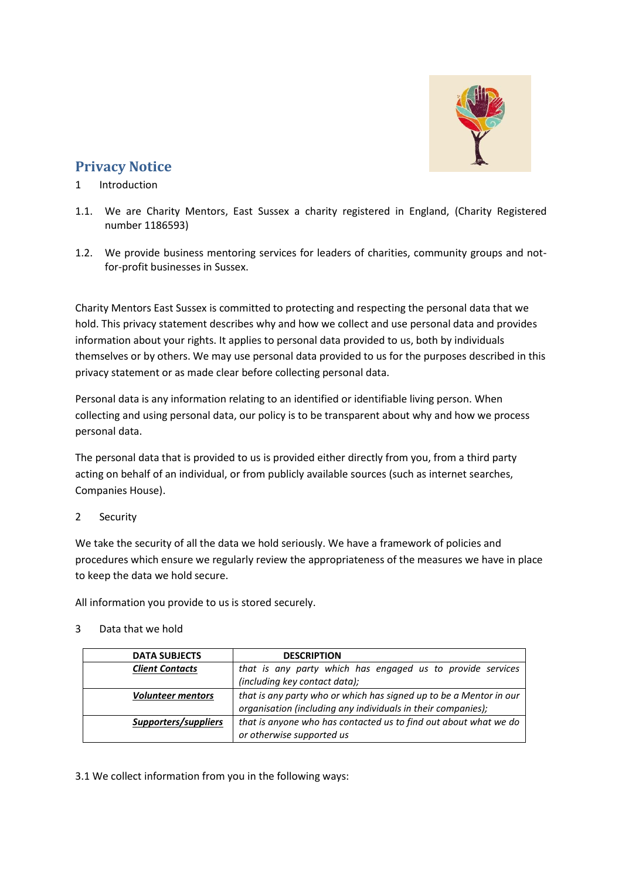

# **Privacy Notice**

# 1 Introduction

- 1.1. We are Charity Mentors, East Sussex a charity registered in England, (Charity Registered number 1186593)
- 1.2. We provide business mentoring services for leaders of charities, community groups and notfor-profit businesses in Sussex.

Charity Mentors East Sussex is committed to protecting and respecting the personal data that we hold. This privacy statement describes why and how we collect and use personal data and provides information about your rights. It applies to personal data provided to us, both by individuals themselves or by others. We may use personal data provided to us for the purposes described in this privacy statement or as made clear before collecting personal data.

Personal data is any information relating to an identified or identifiable living person. When collecting and using personal data, our policy is to be transparent about why and how we process personal data.

The personal data that is provided to us is provided either directly from you, from a third party acting on behalf of an individual, or from publicly available sources (such as internet searches, Companies House).

2 Security

We take the security of all the data we hold seriously. We have a framework of policies and procedures which ensure we regularly review the appropriateness of the measures we have in place to keep the data we hold secure.

All information you provide to us is stored securely.

### 3 Data that we hold

| <b>DATA SUBJECTS</b>     | <b>DESCRIPTION</b>                                                                                                                 |
|--------------------------|------------------------------------------------------------------------------------------------------------------------------------|
| <b>Client Contacts</b>   | that is any party which has engaged us to provide services                                                                         |
|                          | (including key contact data);                                                                                                      |
| <b>Volunteer mentors</b> | that is any party who or which has signed up to be a Mentor in our<br>organisation (including any individuals in their companies); |
| Supporters/suppliers     | that is anyone who has contacted us to find out about what we do<br>or otherwise supported us                                      |

3.1 We collect information from you in the following ways: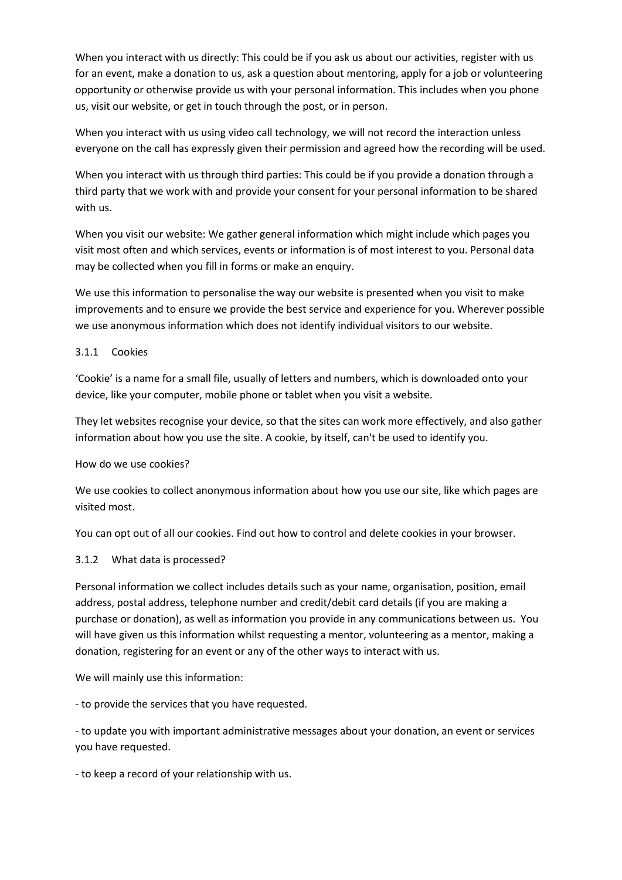When you interact with us directly: This could be if you ask us about our activities, register with us for an event, make a donation to us, ask a question about mentoring, apply for a job or volunteering opportunity or otherwise provide us with your personal information. This includes when you phone us, visit our website, or get in touch through the post, or in person.

When you interact with us using video call technology, we will not record the interaction unless everyone on the call has expressly given their permission and agreed how the recording will be used.

When you interact with us through third parties: This could be if you provide a donation through a third party that we work with and provide your consent for your personal information to be shared with us.

When you visit our website: We gather general information which might include which pages you visit most often and which services, events or information is of most interest to you. Personal data may be collected when you fill in forms or make an enquiry.

We use this information to personalise the way our website is presented when you visit to make improvements and to ensure we provide the best service and experience for you. Wherever possible we use anonymous information which does not identify individual visitors to our website.

### 3.1.1 Cookies

'Cookie' is a name for a small file, usually of letters and numbers, which is downloaded onto your device, like your computer, mobile phone or tablet when you visit a website.

They let websites recognise your device, so that the sites can work more effectively, and also gather information about how you use the site. A cookie, by itself, can't be used to identify you.

How do we use cookies?

We use cookies to collect anonymous information about how you use our site, like which pages are visited most.

You can opt out of all our cookies. Find out how to control and delete cookies in your browser.

### 3.1.2 What data is processed?

Personal information we collect includes details such as your name, organisation, position, email address, postal address, telephone number and credit/debit card details (if you are making a purchase or donation), as well as information you provide in any communications between us. You will have given us this information whilst requesting a mentor, volunteering as a mentor, making a donation, registering for an event or any of the other ways to interact with us.

We will mainly use this information:

- to provide the services that you have requested.

- to update you with important administrative messages about your donation, an event or services you have requested.

- to keep a record of your relationship with us.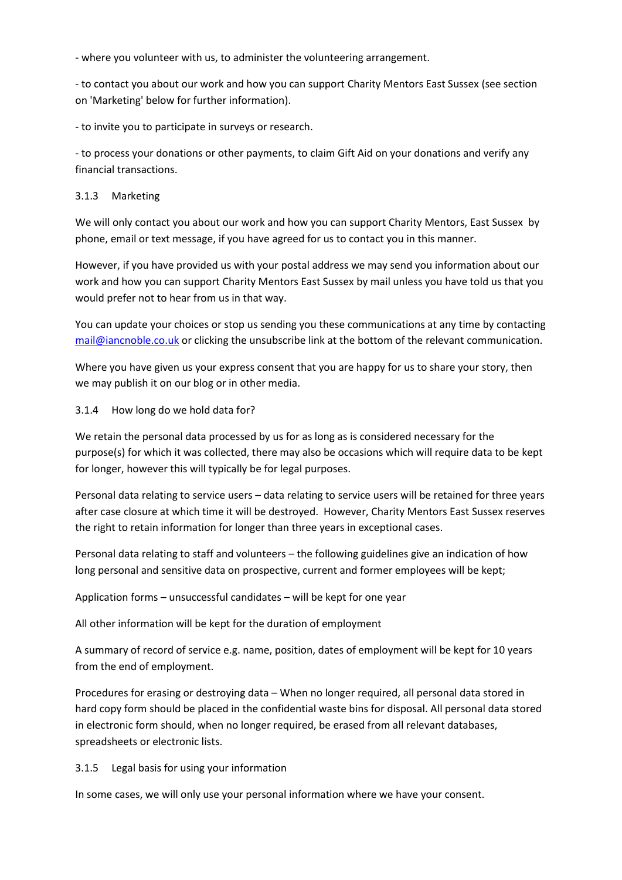- where you volunteer with us, to administer the volunteering arrangement.

- to contact you about our work and how you can support Charity Mentors East Sussex (see section on 'Marketing' below for further information).

- to invite you to participate in surveys or research.

- to process your donations or other payments, to claim Gift Aid on your donations and verify any financial transactions.

#### 3.1.3 Marketing

We will only contact you about our work and how you can support Charity Mentors, East Sussex by phone, email or text message, if you have agreed for us to contact you in this manner.

However, if you have provided us with your postal address we may send you information about our work and how you can support Charity Mentors East Sussex by mail unless you have told us that you would prefer not to hear from us in that way.

You can update your choices or stop us sending you these communications at any time by contacting [mail@iancnoble.co.uk](mailto:mail@iancnoble.co.uk) or clicking the unsubscribe link at the bottom of the relevant communication.

Where you have given us your express consent that you are happy for us to share your story, then we may publish it on our blog or in other media.

#### 3.1.4 How long do we hold data for?

We retain the personal data processed by us for as long as is considered necessary for the purpose(s) for which it was collected, there may also be occasions which will require data to be kept for longer, however this will typically be for legal purposes.

Personal data relating to service users – data relating to service users will be retained for three years after case closure at which time it will be destroyed. However, Charity Mentors East Sussex reserves the right to retain information for longer than three years in exceptional cases.

Personal data relating to staff and volunteers – the following guidelines give an indication of how long personal and sensitive data on prospective, current and former employees will be kept;

Application forms – unsuccessful candidates – will be kept for one year

All other information will be kept for the duration of employment

A summary of record of service e.g. name, position, dates of employment will be kept for 10 years from the end of employment.

Procedures for erasing or destroying data – When no longer required, all personal data stored in hard copy form should be placed in the confidential waste bins for disposal. All personal data stored in electronic form should, when no longer required, be erased from all relevant databases, spreadsheets or electronic lists.

### 3.1.5 Legal basis for using your information

In some cases, we will only use your personal information where we have your consent.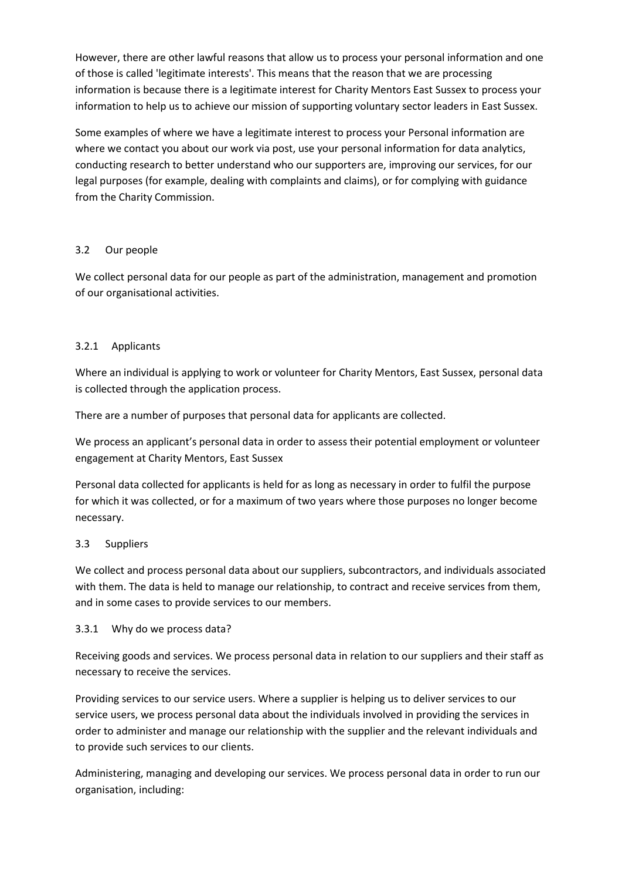However, there are other lawful reasons that allow us to process your personal information and one of those is called 'legitimate interests'. This means that the reason that we are processing information is because there is a legitimate interest for Charity Mentors East Sussex to process your information to help us to achieve our mission of supporting voluntary sector leaders in East Sussex.

Some examples of where we have a legitimate interest to process your Personal information are where we contact you about our work via post, use your personal information for data analytics, conducting research to better understand who our supporters are, improving our services, for our legal purposes (for example, dealing with complaints and claims), or for complying with guidance from the Charity Commission.

# 3.2 Our people

We collect personal data for our people as part of the administration, management and promotion of our organisational activities.

# 3.2.1 Applicants

Where an individual is applying to work or volunteer for Charity Mentors, East Sussex, personal data is collected through the application process.

There are a number of purposes that personal data for applicants are collected.

We process an applicant's personal data in order to assess their potential employment or volunteer engagement at Charity Mentors, East Sussex

Personal data collected for applicants is held for as long as necessary in order to fulfil the purpose for which it was collected, or for a maximum of two years where those purposes no longer become necessary.

### 3.3 Suppliers

We collect and process personal data about our suppliers, subcontractors, and individuals associated with them. The data is held to manage our relationship, to contract and receive services from them, and in some cases to provide services to our members.

### 3.3.1 Why do we process data?

Receiving goods and services. We process personal data in relation to our suppliers and their staff as necessary to receive the services.

Providing services to our service users. Where a supplier is helping us to deliver services to our service users, we process personal data about the individuals involved in providing the services in order to administer and manage our relationship with the supplier and the relevant individuals and to provide such services to our clients.

Administering, managing and developing our services. We process personal data in order to run our organisation, including: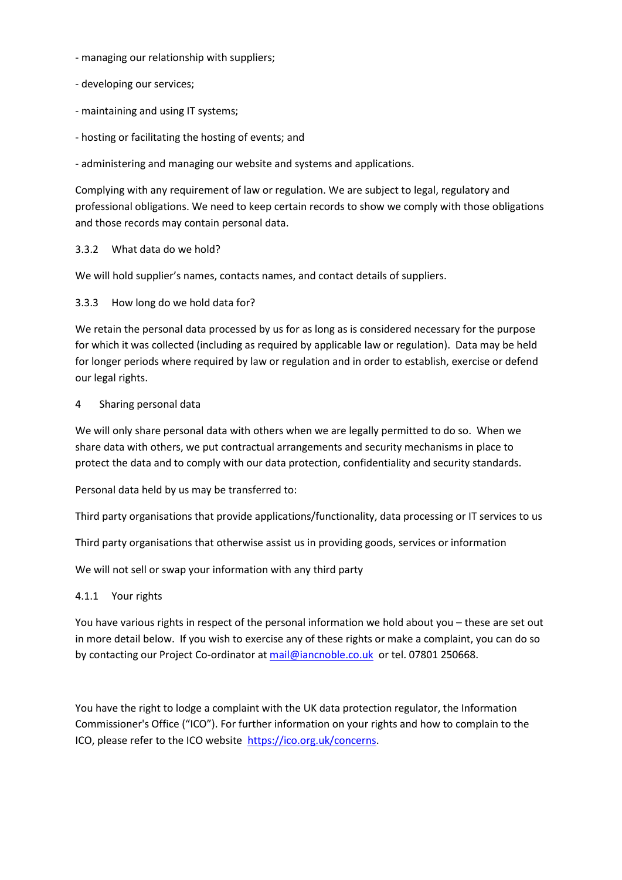- managing our relationship with suppliers;
- developing our services;
- maintaining and using IT systems;
- hosting or facilitating the hosting of events; and

- administering and managing our website and systems and applications.

Complying with any requirement of law or regulation. We are subject to legal, regulatory and professional obligations. We need to keep certain records to show we comply with those obligations and those records may contain personal data.

#### 3.3.2 What data do we hold?

We will hold supplier's names, contacts names, and contact details of suppliers.

3.3.3 How long do we hold data for?

We retain the personal data processed by us for as long as is considered necessary for the purpose for which it was collected (including as required by applicable law or regulation). Data may be held for longer periods where required by law or regulation and in order to establish, exercise or defend our legal rights.

#### 4 Sharing personal data

We will only share personal data with others when we are legally permitted to do so. When we share data with others, we put contractual arrangements and security mechanisms in place to protect the data and to comply with our data protection, confidentiality and security standards.

Personal data held by us may be transferred to:

Third party organisations that provide applications/functionality, data processing or IT services to us

Third party organisations that otherwise assist us in providing goods, services or information

We will not sell or swap your information with any third party

#### 4.1.1 Your rights

You have various rights in respect of the personal information we hold about you – these are set out in more detail below. If you wish to exercise any of these rights or make a complaint, you can do so by contacting our Project Co-ordinator at [mail@iancnoble.co.uk](mailto:mail@iancnoble.co.uk) or tel. 07801 250668.

You have the right to lodge a complaint with the UK data protection regulator, the Information Commissioner's Office ("ICO"). For further information on your rights and how to complain to the ICO, please refer to the ICO website [https://ico.org.uk/concerns.](https://ico.org.uk/concerns)